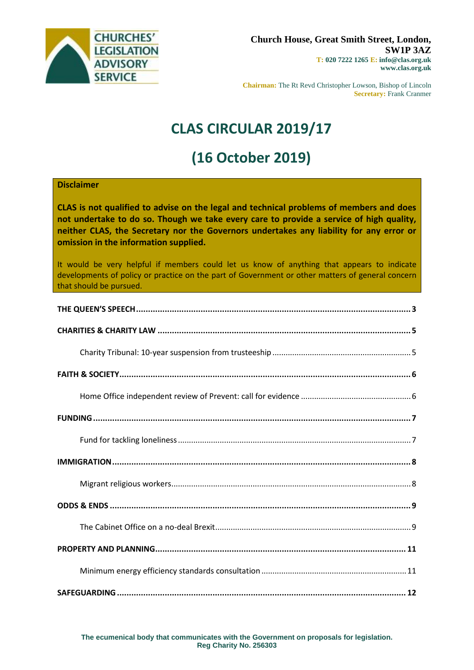

**Chairman:** The Rt Revd Christopher Lowson, Bishop of Lincoln **Secretary:** Frank Cranmer

# **CLAS CIRCULAR 2019/17**

# **(16 October 2019)**

### **Disclaimer**

**CLAS is not qualified to advise on the legal and technical problems of members and does not undertake to do so. Though we take every care to provide a service of high quality, neither CLAS, the Secretary nor the Governors undertakes any liability for any error or omission in the information supplied.**

It would be very helpful if members could let us know of anything that appears to indicate developments of policy or practice on the part of Government or other matters of general concern that should be pursued.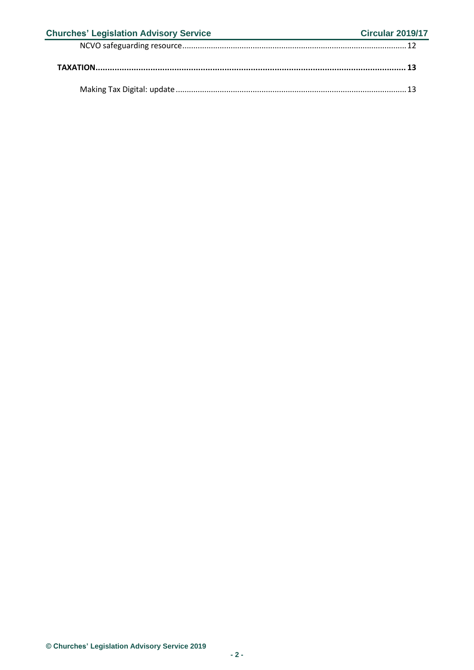| <b>Churches' Legislation Advisory Service</b> | <b>Circular 2019/17</b> |
|-----------------------------------------------|-------------------------|
|                                               |                         |
|                                               |                         |
|                                               |                         |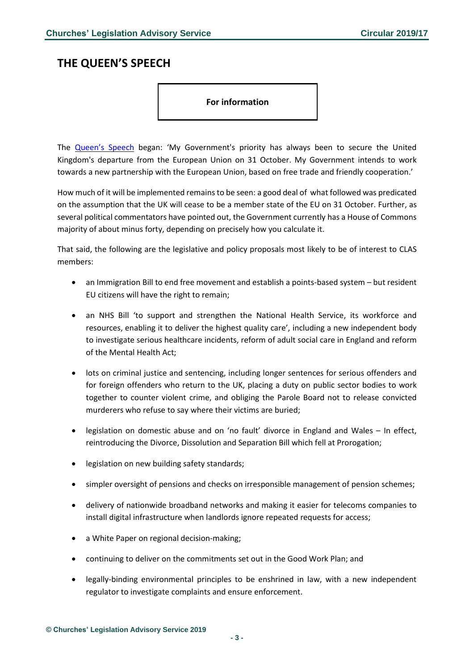# <span id="page-2-0"></span>**THE QUEEN'S SPEECH**

#### **For information**

The [Queen's](https://www.gov.uk/government/speeches/queens-speech-2019) Speech began: 'My Government's priority has always been to secure the United Kingdom's departure from the European Union on 31 October. My Government intends to work towards a new partnership with the European Union, based on free trade and friendly cooperation.'

How much of it will be implemented remainsto be seen: a good deal of what followed was predicated on the assumption that the UK will cease to be a member state of the EU on 31 October. Further, as several political commentators have pointed out, the Government currently has a House of Commons majority of about minus forty, depending on precisely how you calculate it.

That said, the following are the legislative and policy proposals most likely to be of interest to CLAS members:

- an Immigration Bill to end free movement and establish a points-based system but resident EU citizens will have the right to remain;
- an NHS Bill 'to support and strengthen the National Health Service, its workforce and resources, enabling it to deliver the highest quality care', including a new independent body to investigate serious healthcare incidents, reform of adult social care in England and reform of the Mental Health Act;
- lots on criminal justice and sentencing, including longer sentences for serious offenders and for foreign offenders who return to the UK, placing a duty on public sector bodies to work together to counter violent crime, and obliging the Parole Board not to release convicted murderers who refuse to say where their victims are buried;
- legislation on domestic abuse and on 'no fault' divorce in England and Wales In effect, reintroducing the Divorce, Dissolution and Separation Bill which fell at Prorogation;
- legislation on new building safety standards;
- simpler oversight of pensions and checks on irresponsible management of pension schemes;
- delivery of nationwide broadband networks and making it easier for telecoms companies to install digital infrastructure when landlords ignore repeated requests for access;
- a White Paper on regional decision-making;
- continuing to deliver on the commitments set out in the Good Work Plan; and
- legally-binding environmental principles to be enshrined in law, with a new independent regulator to investigate complaints and ensure enforcement.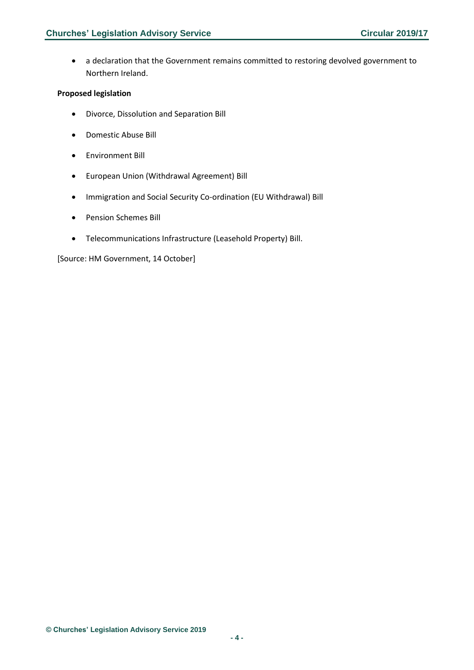• a declaration that the Government remains committed to restoring devolved government to Northern Ireland.

### **Proposed legislation**

- Divorce, Dissolution and Separation Bill
- Domestic Abuse Bill
- Environment Bill
- European Union (Withdrawal Agreement) Bill
- Immigration and Social Security Co-ordination (EU Withdrawal) Bill
- Pension Schemes Bill
- Telecommunications Infrastructure (Leasehold Property) Bill.

[Source: HM Government, 14 October]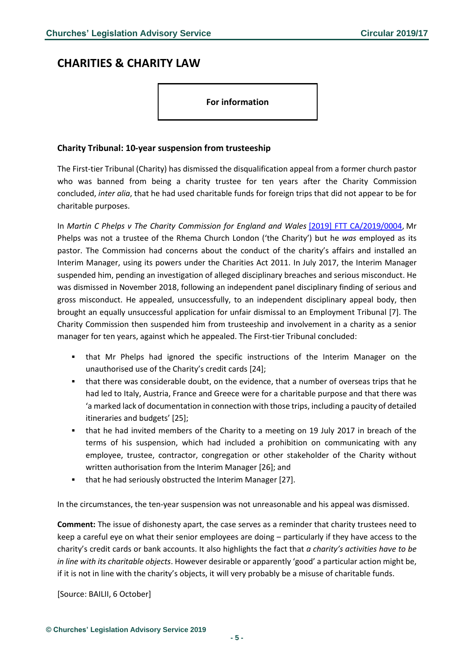## <span id="page-4-0"></span>**CHARITIES & CHARITY LAW**

**For information**

### <span id="page-4-1"></span>**Charity Tribunal: 10-year suspension from trusteeship**

The First-tier Tribunal (Charity) has dismissed the disqualification appeal from a former church pastor who was banned from being a charity trustee for ten years after the Charity Commission concluded, *inter alia*, that he had used charitable funds for foreign trips that did not appear to be for charitable purposes.

In *Martin C Phelps v The Charity Commission for England and Wales* [\[2019\] FTT CA/2019/0004,](http://charity.decisions.tribunals.gov.uk/documents/decisions/Decision%2007%20October%202019%20.pdf) Mr Phelps was not a trustee of the Rhema Church London ('the Charity') but he *was* employed as its pastor. The Commission had concerns about the conduct of the charity's affairs and installed an Interim Manager, using its powers under the Charities Act 2011. In July 2017, the Interim Manager suspended him, pending an investigation of alleged disciplinary breaches and serious misconduct. He was dismissed in November 2018, following an independent panel disciplinary finding of serious and gross misconduct. He appealed, unsuccessfully, to an independent disciplinary appeal body, then brought an equally unsuccessful application for unfair dismissal to an Employment Tribunal [7]. The Charity Commission then suspended him from trusteeship and involvement in a charity as a senior manager for ten years, against which he appealed. The First-tier Tribunal concluded:

- that Mr Phelps had ignored the specific instructions of the Interim Manager on the unauthorised use of the Charity's credit cards [24];
- that there was considerable doubt, on the evidence, that a number of overseas trips that he had led to Italy, Austria, France and Greece were for a charitable purpose and that there was 'a marked lack of documentation in connection with those trips, including a paucity of detailed itineraries and budgets' [25];
- that he had invited members of the Charity to a meeting on 19 July 2017 in breach of the terms of his suspension, which had included a prohibition on communicating with any employee, trustee, contractor, congregation or other stakeholder of the Charity without written authorisation from the Interim Manager [26]; and
- that he had seriously obstructed the Interim Manager [27].

In the circumstances, the ten-year suspension was not unreasonable and his appeal was dismissed.

**Comment:** The issue of dishonesty apart, the case serves as a reminder that charity trustees need to keep a careful eye on what their senior employees are doing – particularly if they have access to the charity's credit cards or bank accounts. It also highlights the fact that *a charity's activities have to be in line with its charitable objects*. However desirable or apparently 'good' a particular action might be, if it is not in line with the charity's objects, it will very probably be a misuse of charitable funds.

[Source: BAILII, 6 October]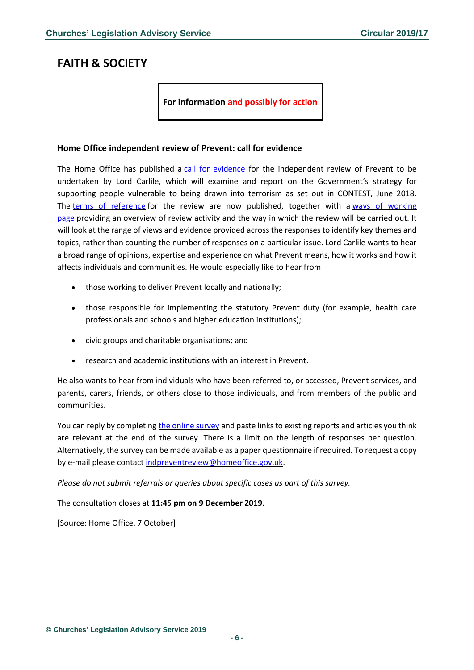## <span id="page-5-0"></span>**FAITH & SOCIETY**

**For information and possibly for action**

#### <span id="page-5-1"></span>**Home Office independent review of Prevent: call for evidence**

The Home Office has published a call for [evidence](https://www.gov.uk/government/consultations/independent-review-of-prevent-call-for-evidence) for the independent review of Prevent to be undertaken by Lord Carlile, which will examine and report on the Government's strategy for supporting people vulnerable to being drawn into terrorism as set out in CONTEST, June 2018. The terms of [reference](https://www.gov.uk/government/publications/independent-review-of-prevent-terms-of-reference) for the review are now published, together with a ways of [working](https://www.gov.uk/government/publications/independent-review-of-prevent/independent-review-of-prevent-ways-of-working) [page](https://www.gov.uk/government/publications/independent-review-of-prevent/independent-review-of-prevent-ways-of-working) providing an overview of review activity and the way in which the review will be carried out. It will look at the range of views and evidence provided across the responses to identify key themes and topics, rather than counting the number of responses on a particular issue. Lord Carlile wants to hear a broad range of opinions, expertise and experience on what Prevent means, how it works and how it affects individuals and communities. He would especially like to hear from

- those working to deliver Prevent locally and nationally;
- those responsible for implementing the statutory Prevent duty (for example, health care professionals and schools and higher education institutions);
- civic groups and charitable organisations; and
- research and academic institutions with an interest in Prevent.

He also wants to hear from individuals who have been referred to, or accessed, Prevent services, and parents, carers, friends, or others close to those individuals, and from members of the public and communities.

You can reply by completing the online [survey](https://www.homeofficesurveys.homeoffice.gov.uk/s/CQGMR/) and paste links to existing reports and articles you think are relevant at the end of the survey. There is a limit on the length of responses per question. Alternatively, the survey can be made available as a paper questionnaire if required. To request a copy by e-mail please contact [indpreventreview@homeoffice.gov.uk.](mailto:indpreventreview@homeoffice.gov.uk)

*Please do not submit referrals or queries about specific cases as part of this survey.*

The consultation closes at **11:45 pm on 9 December 2019**.

[Source: Home Office, 7 October]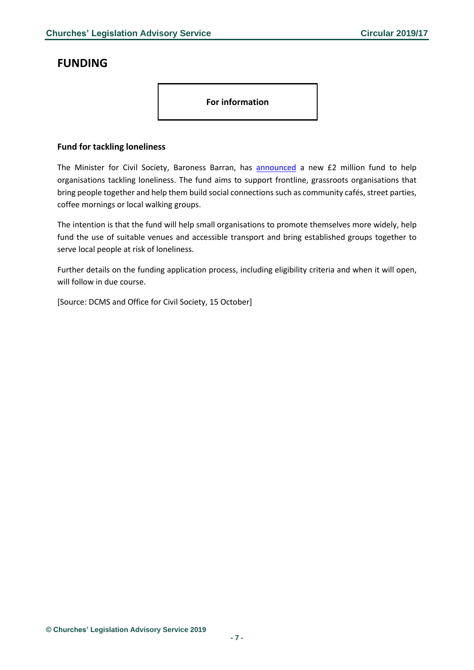# <span id="page-6-0"></span>**FUNDING**

**For information**

### <span id="page-6-1"></span>**Fund for tackling loneliness**

The Minister for Civil Society, Baroness Barran, has **[announced](https://www.gov.uk/government/news/new-fund-for-frontline-organisations-tackling-loneliness)** a new £2 million fund to help organisations tackling loneliness. The fund aims to support frontline, grassroots organisations that bring people together and help them build social connections such as community cafés, street parties, coffee mornings or local walking groups.

The intention is that the fund will help small organisations to promote themselves more widely, help fund the use of suitable venues and accessible transport and bring established groups together to serve local people at risk of loneliness.

Further details on the funding application process, including eligibility criteria and when it will open, will follow in due course.

[Source: DCMS and Office for Civil Society, 15 October]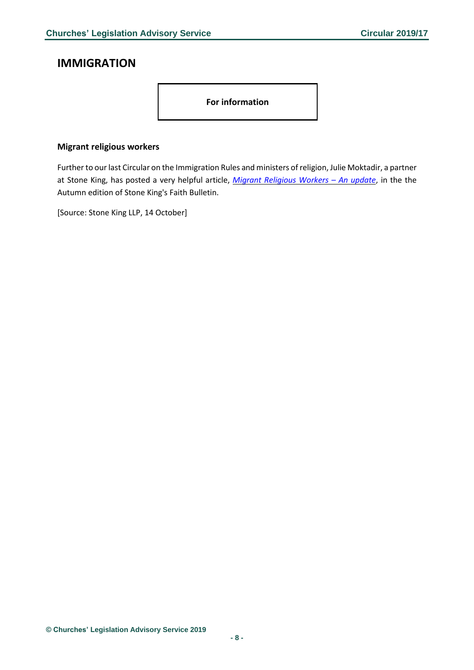# <span id="page-7-0"></span>**IMMIGRATION**

**For information**

### <span id="page-7-1"></span>**Migrant religious workers**

Further to our last Circular on the Immigration Rules and ministers of religion, Julie Moktadir, a partner at Stone King, has posted a very helpful article, *Migrant [Religious](https://www.stoneking.co.uk/literature/e-bulletins/migrant-religious-workers-–-update?utm_medium=email&utm_campaign=Stone%20King%20Faith%20Bulletin%20-%20Autumn%202019&utm_content=Stone%20King%20Faith%20Bulletin%20-%20Autumn%202019+CID_871132c0a30d60d675990dcf5a657cb1&utm_source=Campaign%20Monitor&utm_term=Read%20more) Workers – An update*, in the the Autumn edition of Stone King's Faith Bulletin.

[Source: Stone King LLP, 14 October]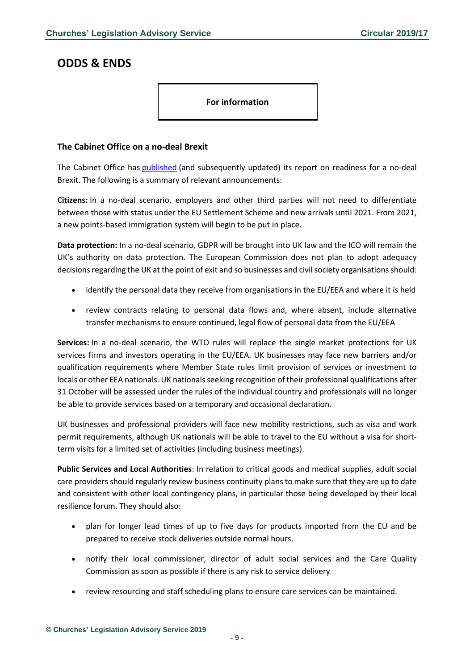### <span id="page-8-0"></span>**ODDS & ENDS**

**For information**

### <span id="page-8-1"></span>**The Cabinet Office on a no-deal Brexit**

The Cabinet Office has **[published](https://www.gov.uk/government/publications/no-deal-readiness-report)** (and subsequently updated) its report on readiness for a no-deal Brexit. The following is a summary of relevant announcements:

**Citizens:** In a no-deal scenario, employers and other third parties will not need to differentiate between those with status under the EU Settlement Scheme and new arrivals until 2021. From 2021, a new points-based immigration system will begin to be put in place.

**Data protection:** In a no-deal scenario, GDPR will be brought into UK law and the ICO will remain the UK's authority on data protection. The European Commission does not plan to adopt adequacy decisions regarding the UK at the point of exit and so businesses and civil society organisations should:

- identify the personal data they receive from organisations in the EU/EEA and where it is held
- review contracts relating to personal data flows and, where absent, include alternative transfer mechanisms to ensure continued, legal flow of personal data from the EU/EEA

**Services:** In a no-deal scenario, the WTO rules will replace the single market protections for UK services firms and investors operating in the EU/EEA. UK businesses may face new barriers and/or qualification requirements where Member State rules limit provision of services or investment to locals or other EEA nationals. UK nationals seeking recognition of their professional qualifications after 31 October will be assessed under the rules of the individual country and professionals will no longer be able to provide services based on a temporary and occasional declaration.

UK businesses and professional providers will face new mobility restrictions, such as visa and work permit requirements, although UK nationals will be able to travel to the EU without a visa for shortterm visits for a limited set of activities (including business meetings).

**Public Services and Local Authorities**: In relation to critical goods and medical supplies, adult social care providers should regularly review business continuity plans to make sure that they are up to date and consistent with other local contingency plans, in particular those being developed by their local resilience forum. They should also:

- plan for longer lead times of up to five days for products imported from the EU and be prepared to receive stock deliveries outside normal hours.
- notify their local commissioner, director of adult social services and the Care Quality Commission as soon as possible if there is any risk to service delivery
- review resourcing and staff scheduling plans to ensure care services can be maintained.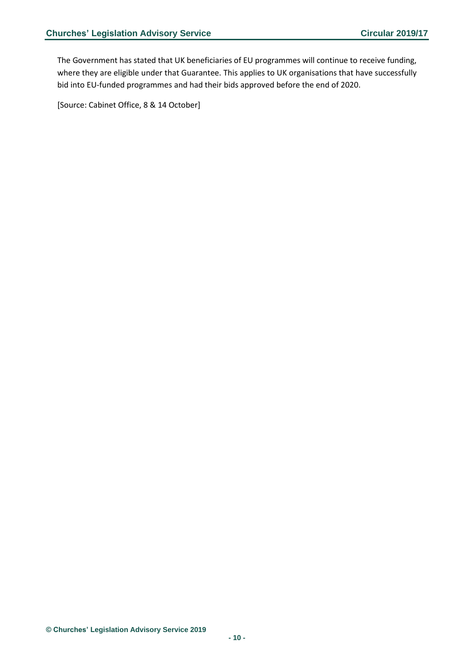The Government has stated that UK beneficiaries of EU programmes will continue to receive funding, where they are eligible under that Guarantee. This applies to UK organisations that have successfully bid into EU-funded programmes and had their bids approved before the end of 2020.

[Source: Cabinet Office, 8 & 14 October]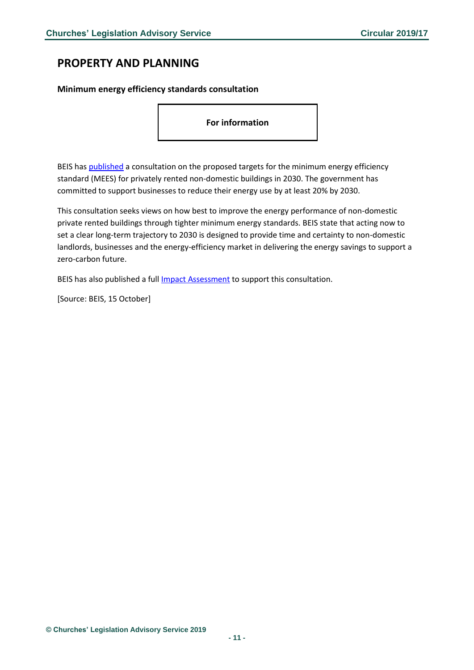# <span id="page-10-0"></span>**PROPERTY AND PLANNING**

### <span id="page-10-1"></span>**Minimum energy efficiency standards consultation**

**For information**

BEIS has [published](https://www.gov.uk/government/consultations/non-domestic-private-rented-sector-minimum-energy-efficiency-standards-future-trajectory-to-2030?utm_source=0d67cd78-2d6a-4f68-ae03-ae8e67d65b45&utm_medium=email&utm_campaign=govuk-notifications&utm_content=daily) a consultation on the proposed targets for the minimum energy efficiency standard (MEES) for privately rented non-domestic buildings in 2030. The government has committed to support businesses to reduce their energy use by at least 20% by 2030.

This consultation seeks views on how best to improve the energy performance of non-domestic private rented buildings through tighter minimum energy standards. BEIS state that acting now to set a clear long-term trajectory to 2030 is designed to provide time and certainty to non-domestic landlords, businesses and the energy-efficiency market in delivering the energy savings to support a zero-carbon future.

BEIS has also published a full [Impact Assessment](https://assets.publishing.service.gov.uk/government/uploads/system/uploads/attachment_data/file/839565/non-domestic-prs-consultation-ia.pdf) to support this consultation.

[Source: BEIS, 15 October]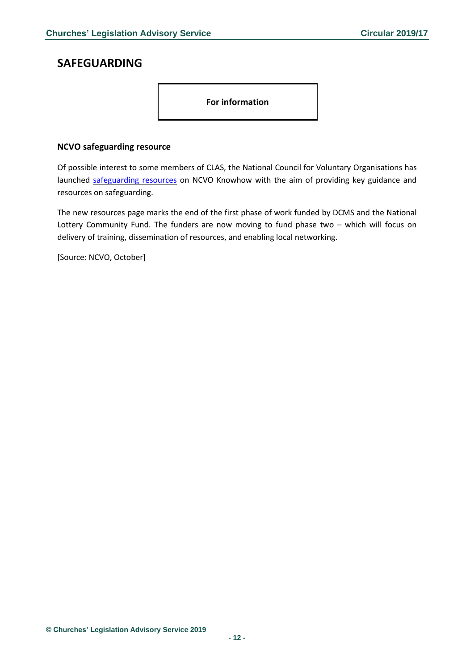## <span id="page-11-0"></span>**SAFEGUARDING**

**For information**

### <span id="page-11-1"></span>**NCVO safeguarding resource**

Of possible interest to some members of CLAS, the National Council for Voluntary Organisations has launched [safeguarding](https://knowhow.ncvo.org.uk/safeguarding/safeguarding) resources on NCVO Knowhow with the aim of providing key guidance and resources on safeguarding.

The new resources page marks the end of the first phase of work funded by DCMS and the National Lottery Community Fund. The funders are now moving to fund phase two – which will focus on delivery of training, dissemination of resources, and enabling local networking.

[Source: NCVO, October]